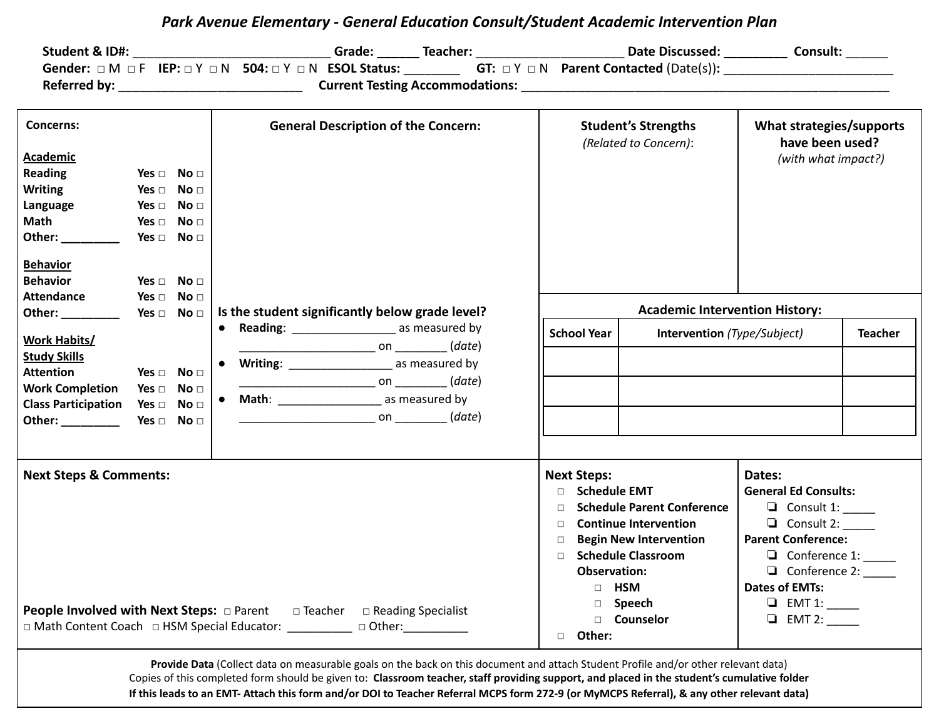## *Park Avenue Elementary - General Education Consult/Student Academic Intervention Plan*

| Student & ID#:                                                                                     |  | Grade: | Teacher: | Date Discussed:                                                 | Consult. |
|----------------------------------------------------------------------------------------------------|--|--------|----------|-----------------------------------------------------------------|----------|
| <b>Gender:</b> $\Box$ M $\Box$ F IEP: $\Box$ Y $\Box$ N $\Box$ SO4: $\Box$ Y $\Box$ N ESOL Status: |  |        |          | <b>GT:</b> $\Box$ Y $\Box$ N <b>Parent Contacted</b> (Date(s)): |          |
| <b>Referred by:</b>                                                                                |  |        |          |                                                                 |          |

| <b>Concerns:</b><br><b>Academic</b><br><b>Reading</b><br><b>Writing</b><br>Language<br>Math<br>Other: __________<br><b>Behavior</b><br><b>Behavior</b> | Yes $\Box$ No $\Box$<br>Yes $\Box$ No $\Box$<br>Yes $\Box$ No $\Box$<br>No <sub>1</sub><br>Yes $\Box$<br>Yes $\Box$ No $\Box$<br>Yes $\Box$ No $\Box$ | <b>General Description of the Concern:</b>                                                                                                                                         |                                                                                                                                                                                                                                                                                             | <b>Student's Strengths</b><br>(Related to Concern): | What strategies/supports<br>have been used?<br>(with what impact?)                                                                                                                                                            |                |
|--------------------------------------------------------------------------------------------------------------------------------------------------------|-------------------------------------------------------------------------------------------------------------------------------------------------------|------------------------------------------------------------------------------------------------------------------------------------------------------------------------------------|---------------------------------------------------------------------------------------------------------------------------------------------------------------------------------------------------------------------------------------------------------------------------------------------|-----------------------------------------------------|-------------------------------------------------------------------------------------------------------------------------------------------------------------------------------------------------------------------------------|----------------|
| <b>Attendance</b><br>Other: New York Products                                                                                                          | No <sub>1</sub><br>Yes $\Box$<br>Yes $\Box$ No $\Box$                                                                                                 | Is the student significantly below grade level?                                                                                                                                    | <b>Academic Intervention History:</b>                                                                                                                                                                                                                                                       |                                                     |                                                                                                                                                                                                                               |                |
| <b>Work Habits/</b><br><b>Study Skills</b><br><b>Attention</b><br><b>Work Completion</b><br><b>Class Participation</b><br>Other: _________             | Yes $\Box$ No $\Box$<br>No <sub>1</sub><br>Yes $\Box$<br>Yes $\Box$ No $\Box$<br>Yes $\Box$<br>No <sub>1</sub>                                        | • Reading: _______________________ as measured by<br>Writing: _________________________ as measured by<br>$\bullet$<br><b>Math:</b> as measured by<br>$\bullet$                    | <b>School Year</b>                                                                                                                                                                                                                                                                          | <b>Intervention</b> (Type/Subject)                  |                                                                                                                                                                                                                               | <b>Teacher</b> |
| <b>Next Steps &amp; Comments:</b>                                                                                                                      |                                                                                                                                                       | <b>People Involved with Next Steps:</b> $\Box$ Parent $\Box$ Teacher $\Box$ Reading Specialist<br>□ Math Content Coach □ HSM Special Educator: _____________ □ Other:_____________ | <b>Next Steps:</b><br>□ Schedule EMT<br><b>Schedule Parent Conference</b><br>П.<br><b>Continue Intervention</b><br>П.<br><b>Begin New Intervention</b><br>$\Box$<br><b>Schedule Classroom</b><br>$\Box$<br><b>Observation:</b><br>$\Box$ HSM<br>Speech<br>$\Box$<br>□ Counselor<br>□ Other: |                                                     | Dates:<br><b>General Ed Consults:</b><br>$\Box$ Consult 1: _____<br>$\Box$ Consult 2:<br><b>Parent Conference:</b><br>$\Box$ Conference 1:<br>$\Box$ Conference 2:<br><b>Dates of EMTs:</b><br>$\Box$ EMT 1:<br>$\Box$ EMT 2: |                |

**Provide Data** (Collect data on measurable goals on the back on this document and attach Student Profile and/or other relevant data) Copies of this completed form should be given to: **Classroom teacher, staff providing support, and placed in the student's cumulative folder** If this leads to an EMT- Attach this form and/or DOI to Teacher Referral MCPS form 272-9 (or MyMCPS Referral), & any other relevant data)